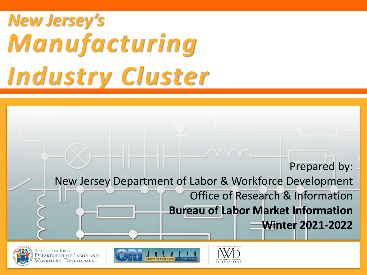# *New Jersey's Manufacturing Industry Cluster*





**STATE OF NEW JERSEY** DEPARTMENT OF LABOR AND Vorkforce Development



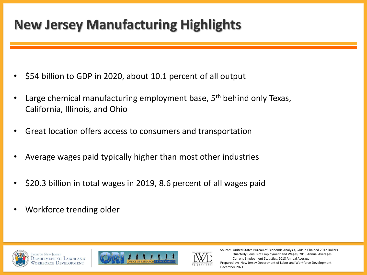## **New Jersey Manufacturing Highlights**

- \$54 billion to GDP in 2020, about 10.1 percent of all output
- Large chemical manufacturing employment base,  $5<sup>th</sup>$  behind only Texas, California, Illinois, and Ohio
- Great location offers access to consumers and transportation
- Average wages paid typically higher than most other industries
- \$20.3 billion in total wages in 2019, 8.6 percent of all wages paid
- Workforce trending older









Source: United States Bureau of Economic Analysis, GDP in Chained 2012 Dollars Quarterly Census of Employment and Wages, 2018 Annual Averages Current Employment Statistics, 2018 Annual Average Prepared by: New Jersey Department of Labor and Workforce Development December 2021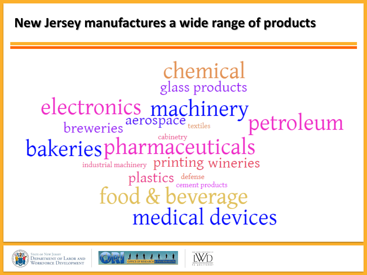### **New Jersey manufactures a wide range of products**









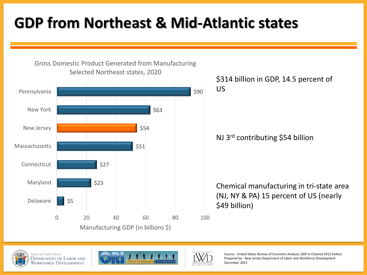## **GDP from Northeast & Mid-Atlantic states**



Gross Domestic Product Generated from Manufacturing

#### NJ 3rd contributing \$54 billion

Chemical manufacturing in tri-state area (NJ, NY & PA) 15 percent of US (nearly \$49 billion)







Source: United States Bureau of Economic Analysis, GDP in Chained 2012 Dollars Prepared by: New Jersey Department of Labor and Workforce Development December 2021

<sup>\$314</sup> billion in GDP, 14.5 percent of US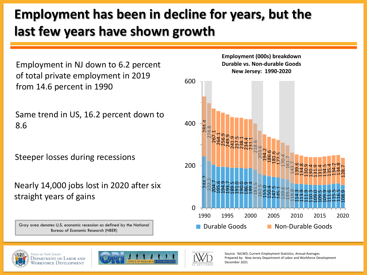## **Employment has been in decline for years, but the last few years have shown growth**

Employment in NJ down to 6.2 percent of total private employment in 2019 from 14.6 percent in 1990

Same trend in US, 16.2 percent down to 8.6

Steeper losses during recessions

Nearly 14,000 jobs lost in 2020 after six straight years of gains

Gray area denotes U.S. economic recession as defined by the National Bureau of Economic Research (NBER)









Source: NJLWD, Current Employment Statistics, Annual Averages Prepared by: New Jersey Department of Labor and Workforce Development December 2021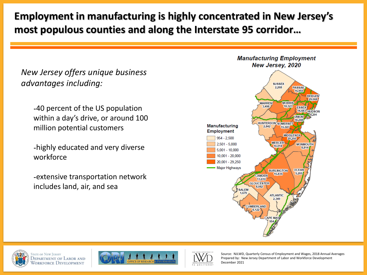#### **Employment in manufacturing is highly concentrated in New Jersey's most populous counties and along the Interstate 95 corridor…**

*New Jersey offers unique business advantages including:*

-40 percent of the US population within a day's drive, or around 100 million potential customers

-highly educated and very diverse workforce

-extensive transportation network includes land, air, and sea









Source: NJLWD, Quarterly Census of Employment and Wages, 2018 Annual Averages Prepared by: New Jersey Department of Labor and Workforce Development December 2021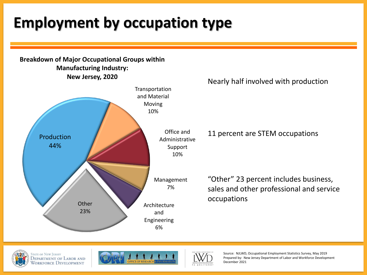## **Employment by occupation type**









Source: NJLWD, Occupational Employment Statistics Survey, May 2019 Prepared by: New Jersey Department of Labor and Workforce Development December 2021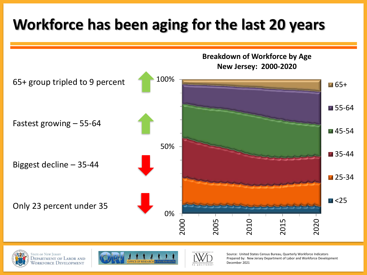## **Workforce has been aging for the last 20 years**









Source: United States Census Bureau, Quarterly Workforce Indicators Prepared by: New Jersey Department of Labor and Workforce Development December 2021